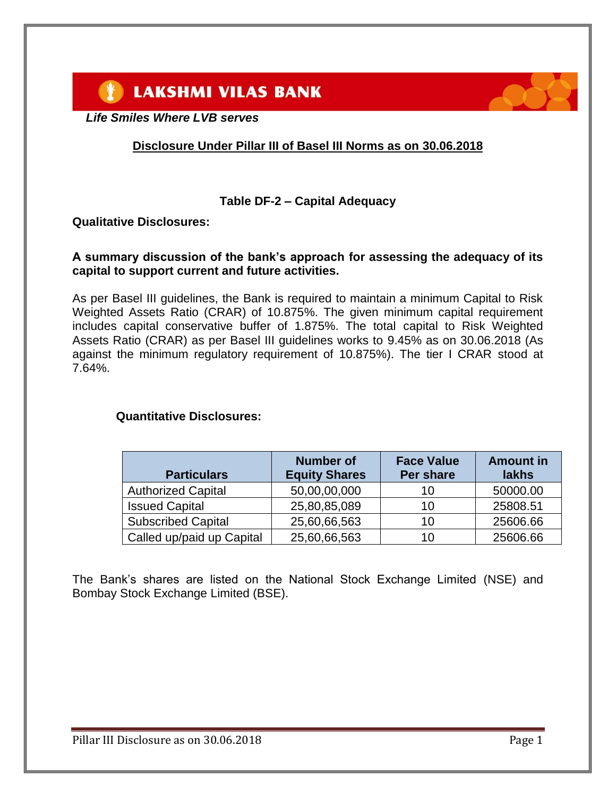

 *Life Smiles Where LVB serves*

# **Disclosure Under Pillar III of Basel III Norms as on 30.06.2018**

#### **Table DF-2 – Capital Adequacy**

**Qualitative Disclosures:**

#### **A summary discussion of the bank's approach for assessing the adequacy of its capital to support current and future activities.**

As per Basel III guidelines, the Bank is required to maintain a minimum Capital to Risk Weighted Assets Ratio (CRAR) of 10.875%. The given minimum capital requirement includes capital conservative buffer of 1.875%. The total capital to Risk Weighted Assets Ratio (CRAR) as per Basel III guidelines works to 9.45% as on 30.06.2018 (As against the minimum regulatory requirement of 10.875%). The tier I CRAR stood at 7.64%.

#### **Quantitative Disclosures:**

| <b>Particulars</b>        | <b>Number of</b><br><b>Equity Shares</b> | <b>Face Value</b><br>Per share | <b>Amount in</b><br>lakhs |
|---------------------------|------------------------------------------|--------------------------------|---------------------------|
| <b>Authorized Capital</b> | 50,00,00,000                             | 10                             | 50000.00                  |
| <b>Issued Capital</b>     | 25,80,85,089                             | 10                             | 25808.51                  |
| <b>Subscribed Capital</b> | 25,60,66,563                             | 10                             | 25606.66                  |
| Called up/paid up Capital | 25,60,66,563                             | 10                             | 25606.66                  |

The Bank's shares are listed on the National Stock Exchange Limited (NSE) and Bombay Stock Exchange Limited (BSE).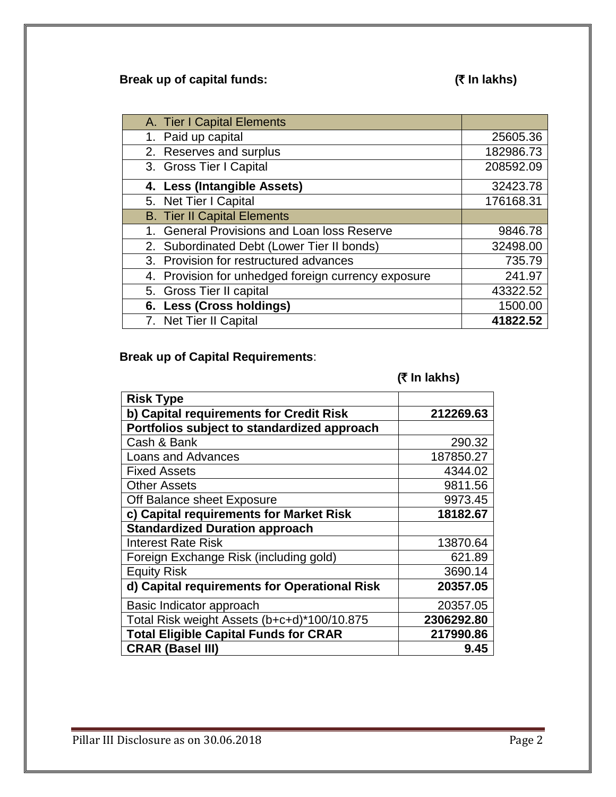# **Break up of capital funds: (**` **In lakhs)**

| A. Tier I Capital Elements                          |           |
|-----------------------------------------------------|-----------|
| 1. Paid up capital                                  | 25605.36  |
| 2. Reserves and surplus                             | 182986.73 |
| 3. Gross Tier I Capital                             | 208592.09 |
| 4. Less (Intangible Assets)                         | 32423.78  |
| 5. Net Tier I Capital                               | 176168.31 |
| <b>B. Tier II Capital Elements</b>                  |           |
| 1. General Provisions and Loan loss Reserve         | 9846.78   |
| 2. Subordinated Debt (Lower Tier II bonds)          | 32498.00  |
| 3. Provision for restructured advances              | 735.79    |
| 4. Provision for unhedged foreign currency exposure | 241.97    |
| 5. Gross Tier II capital                            | 43322.52  |
| 6. Less (Cross holdings)                            | 1500.00   |
| 7. Net Tier II Capital                              | 41822.52  |

# **Break up of Capital Requirements**:

# **(**` **In lakhs)**

| <b>Risk Type</b>                             |            |
|----------------------------------------------|------------|
| b) Capital requirements for Credit Risk      | 212269.63  |
| Portfolios subject to standardized approach  |            |
| Cash & Bank                                  | 290.32     |
| <b>Loans and Advances</b>                    | 187850.27  |
| <b>Fixed Assets</b>                          | 4344.02    |
| <b>Other Assets</b>                          | 9811.56    |
| Off Balance sheet Exposure                   | 9973.45    |
| c) Capital requirements for Market Risk      | 18182.67   |
| <b>Standardized Duration approach</b>        |            |
| <b>Interest Rate Risk</b>                    | 13870.64   |
| Foreign Exchange Risk (including gold)       | 621.89     |
| <b>Equity Risk</b>                           | 3690.14    |
| d) Capital requirements for Operational Risk | 20357.05   |
| Basic Indicator approach                     | 20357.05   |
| Total Risk weight Assets (b+c+d)*100/10.875  | 2306292.80 |
| <b>Total Eligible Capital Funds for CRAR</b> | 217990.86  |
| <b>CRAR (Basel III)</b>                      | 9.45       |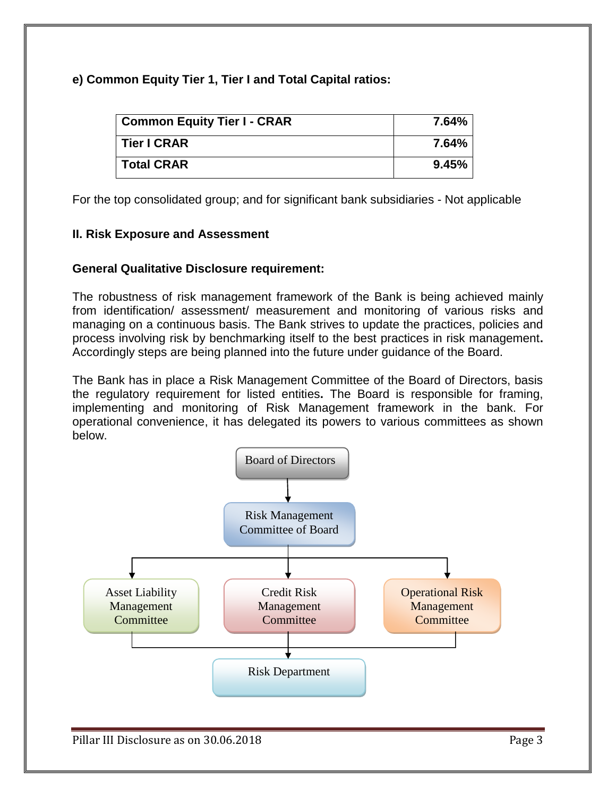**e) Common Equity Tier 1, Tier I and Total Capital ratios:**

| <b>Common Equity Tier I - CRAR</b> | 7.64% |
|------------------------------------|-------|
| <b>Tier I CRAR</b>                 | 7.64% |
| <b>Total CRAR</b>                  | 9.45% |

For the top consolidated group; and for significant bank subsidiaries - Not applicable

# **II. Risk Exposure and Assessment**

# **General Qualitative Disclosure requirement:**

The robustness of risk management framework of the Bank is being achieved mainly from identification/ assessment/ measurement and monitoring of various risks and managing on a continuous basis. The Bank strives to update the practices, policies and process involving risk by benchmarking itself to the best practices in risk management**.** Accordingly steps are being planned into the future under guidance of the Board.

The Bank has in place a Risk Management Committee of the Board of Directors, basis the regulatory requirement for listed entities**.** The Board is responsible for framing, implementing and monitoring of Risk Management framework in the bank. For operational convenience, it has delegated its powers to various committees as shown below.



Pillar III Disclosure as on 30.06.2018 Page 3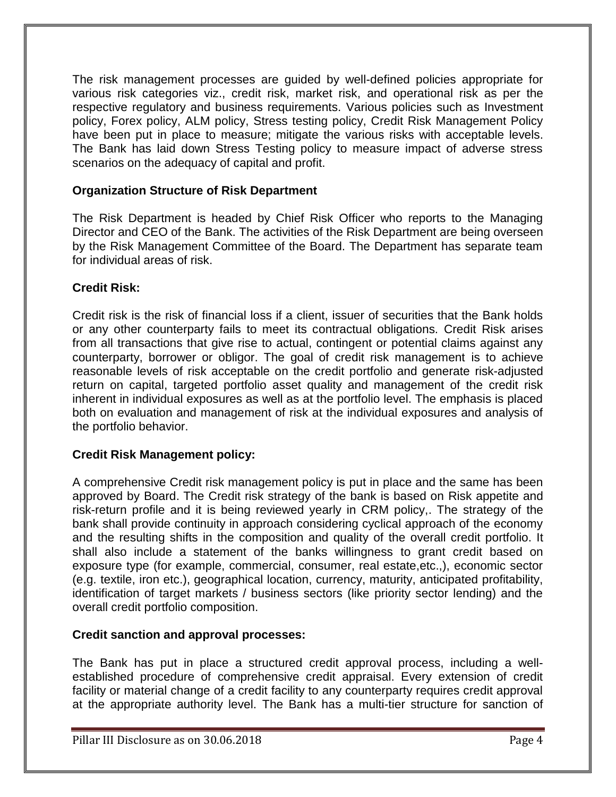The risk management processes are guided by well-defined policies appropriate for various risk categories viz., credit risk, market risk, and operational risk as per the respective regulatory and business requirements. Various policies such as Investment policy, Forex policy, ALM policy, Stress testing policy, Credit Risk Management Policy have been put in place to measure; mitigate the various risks with acceptable levels. The Bank has laid down Stress Testing policy to measure impact of adverse stress scenarios on the adequacy of capital and profit.

# **Organization Structure of Risk Department**

The Risk Department is headed by Chief Risk Officer who reports to the Managing Director and CEO of the Bank. The activities of the Risk Department are being overseen by the Risk Management Committee of the Board. The Department has separate team for individual areas of risk.

# **Credit Risk:**

Credit risk is the risk of financial loss if a client, issuer of securities that the Bank holds or any other counterparty fails to meet its contractual obligations. Credit Risk arises from all transactions that give rise to actual, contingent or potential claims against any counterparty, borrower or obligor. The goal of credit risk management is to achieve reasonable levels of risk acceptable on the credit portfolio and generate risk-adjusted return on capital, targeted portfolio asset quality and management of the credit risk inherent in individual exposures as well as at the portfolio level. The emphasis is placed both on evaluation and management of risk at the individual exposures and analysis of the portfolio behavior.

# **Credit Risk Management policy:**

A comprehensive Credit risk management policy is put in place and the same has been approved by Board. The Credit risk strategy of the bank is based on Risk appetite and risk-return profile and it is being reviewed yearly in CRM policy,. The strategy of the bank shall provide continuity in approach considering cyclical approach of the economy and the resulting shifts in the composition and quality of the overall credit portfolio. It shall also include a statement of the banks willingness to grant credit based on exposure type (for example, commercial, consumer, real estate,etc.,), economic sector (e.g. textile, iron etc.), geographical location, currency, maturity, anticipated profitability, identification of target markets / business sectors (like priority sector lending) and the overall credit portfolio composition.

# **Credit sanction and approval processes:**

The Bank has put in place a structured credit approval process, including a wellestablished procedure of comprehensive credit appraisal. Every extension of credit facility or material change of a credit facility to any counterparty requires credit approval at the appropriate authority level. The Bank has a multi-tier structure for sanction of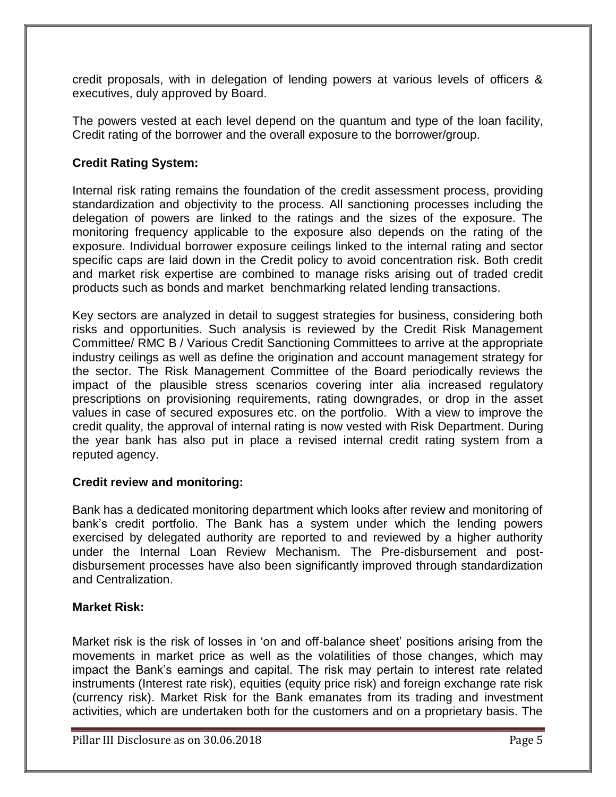credit proposals, with in delegation of lending powers at various levels of officers & executives, duly approved by Board.

The powers vested at each level depend on the quantum and type of the loan facility, Credit rating of the borrower and the overall exposure to the borrower/group.

# **Credit Rating System:**

Internal risk rating remains the foundation of the credit assessment process, providing standardization and objectivity to the process. All sanctioning processes including the delegation of powers are linked to the ratings and the sizes of the exposure. The monitoring frequency applicable to the exposure also depends on the rating of the exposure. Individual borrower exposure ceilings linked to the internal rating and sector specific caps are laid down in the Credit policy to avoid concentration risk. Both credit and market risk expertise are combined to manage risks arising out of traded credit products such as bonds and market benchmarking related lending transactions.

Key sectors are analyzed in detail to suggest strategies for business, considering both risks and opportunities. Such analysis is reviewed by the Credit Risk Management Committee/ RMC B / Various Credit Sanctioning Committees to arrive at the appropriate industry ceilings as well as define the origination and account management strategy for the sector. The Risk Management Committee of the Board periodically reviews the impact of the plausible stress scenarios covering inter alia increased regulatory prescriptions on provisioning requirements, rating downgrades, or drop in the asset values in case of secured exposures etc. on the portfolio. With a view to improve the credit quality, the approval of internal rating is now vested with Risk Department. During the year bank has also put in place a revised internal credit rating system from a reputed agency.

# **Credit review and monitoring:**

Bank has a dedicated monitoring department which looks after review and monitoring of bank's credit portfolio. The Bank has a system under which the lending powers exercised by delegated authority are reported to and reviewed by a higher authority under the Internal Loan Review Mechanism. The Pre-disbursement and postdisbursement processes have also been significantly improved through standardization and Centralization.

# **Market Risk:**

Market risk is the risk of losses in 'on and off-balance sheet' positions arising from the movements in market price as well as the volatilities of those changes, which may impact the Bank's earnings and capital. The risk may pertain to interest rate related instruments (Interest rate risk), equities (equity price risk) and foreign exchange rate risk (currency risk). Market Risk for the Bank emanates from its trading and investment activities, which are undertaken both for the customers and on a proprietary basis. The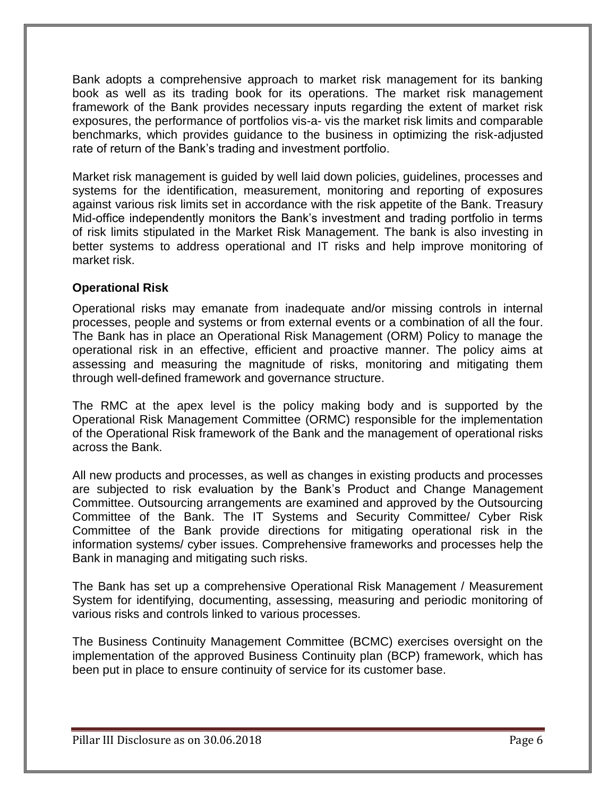Bank adopts a comprehensive approach to market risk management for its banking book as well as its trading book for its operations. The market risk management framework of the Bank provides necessary inputs regarding the extent of market risk exposures, the performance of portfolios vis-a- vis the market risk limits and comparable benchmarks, which provides guidance to the business in optimizing the risk-adjusted rate of return of the Bank's trading and investment portfolio.

Market risk management is guided by well laid down policies, guidelines, processes and systems for the identification, measurement, monitoring and reporting of exposures against various risk limits set in accordance with the risk appetite of the Bank. Treasury Mid-office independently monitors the Bank's investment and trading portfolio in terms of risk limits stipulated in the Market Risk Management. The bank is also investing in better systems to address operational and IT risks and help improve monitoring of market risk.

# **Operational Risk**

Operational risks may emanate from inadequate and/or missing controls in internal processes, people and systems or from external events or a combination of all the four. The Bank has in place an Operational Risk Management (ORM) Policy to manage the operational risk in an effective, efficient and proactive manner. The policy aims at assessing and measuring the magnitude of risks, monitoring and mitigating them through well-defined framework and governance structure.

The RMC at the apex level is the policy making body and is supported by the Operational Risk Management Committee (ORMC) responsible for the implementation of the Operational Risk framework of the Bank and the management of operational risks across the Bank.

All new products and processes, as well as changes in existing products and processes are subjected to risk evaluation by the Bank's Product and Change Management Committee. Outsourcing arrangements are examined and approved by the Outsourcing Committee of the Bank. The IT Systems and Security Committee/ Cyber Risk Committee of the Bank provide directions for mitigating operational risk in the information systems/ cyber issues. Comprehensive frameworks and processes help the Bank in managing and mitigating such risks.

The Bank has set up a comprehensive Operational Risk Management / Measurement System for identifying, documenting, assessing, measuring and periodic monitoring of various risks and controls linked to various processes.

The Business Continuity Management Committee (BCMC) exercises oversight on the implementation of the approved Business Continuity plan (BCP) framework, which has been put in place to ensure continuity of service for its customer base.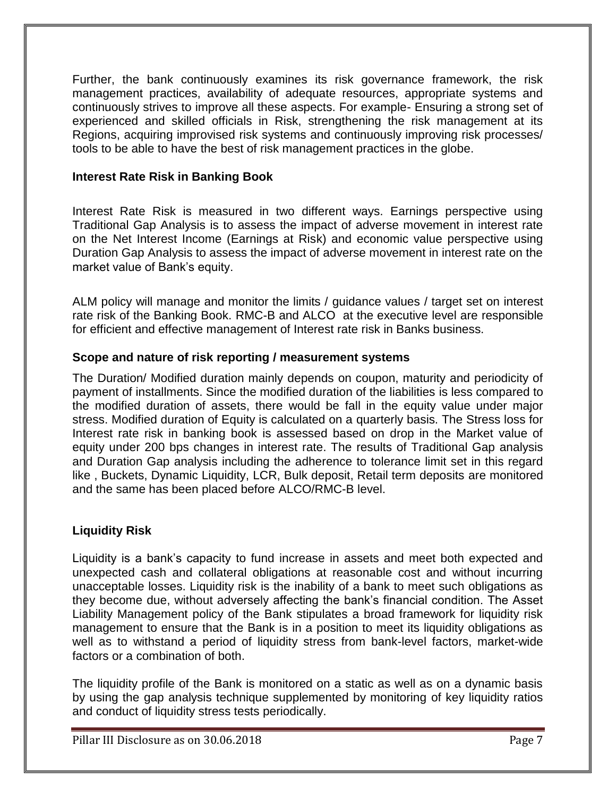Further, the bank continuously examines its risk governance framework, the risk management practices, availability of adequate resources, appropriate systems and continuously strives to improve all these aspects. For example- Ensuring a strong set of experienced and skilled officials in Risk, strengthening the risk management at its Regions, acquiring improvised risk systems and continuously improving risk processes/ tools to be able to have the best of risk management practices in the globe.

## **Interest Rate Risk in Banking Book**

Interest Rate Risk is measured in two different ways. Earnings perspective using Traditional Gap Analysis is to assess the impact of adverse movement in interest rate on the Net Interest Income (Earnings at Risk) and economic value perspective using Duration Gap Analysis to assess the impact of adverse movement in interest rate on the market value of Bank's equity.

ALM policy will manage and monitor the limits / guidance values / target set on interest rate risk of the Banking Book. RMC-B and ALCO at the executive level are responsible for efficient and effective management of Interest rate risk in Banks business.

## **Scope and nature of risk reporting / measurement systems**

The Duration/ Modified duration mainly depends on coupon, maturity and periodicity of payment of installments. Since the modified duration of the liabilities is less compared to the modified duration of assets, there would be fall in the equity value under major stress. Modified duration of Equity is calculated on a quarterly basis. The Stress loss for Interest rate risk in banking book is assessed based on drop in the Market value of equity under 200 bps changes in interest rate. The results of Traditional Gap analysis and Duration Gap analysis including the adherence to tolerance limit set in this regard like , Buckets, Dynamic Liquidity, LCR, Bulk deposit, Retail term deposits are monitored and the same has been placed before ALCO/RMC-B level.

# **Liquidity Risk**

Liquidity is a bank's capacity to fund increase in assets and meet both expected and unexpected cash and collateral obligations at reasonable cost and without incurring unacceptable losses. Liquidity risk is the inability of a bank to meet such obligations as they become due, without adversely affecting the bank's financial condition. The Asset Liability Management policy of the Bank stipulates a broad framework for liquidity risk management to ensure that the Bank is in a position to meet its liquidity obligations as well as to withstand a period of liquidity stress from bank-level factors, market-wide factors or a combination of both.

The liquidity profile of the Bank is monitored on a static as well as on a dynamic basis by using the gap analysis technique supplemented by monitoring of key liquidity ratios and conduct of liquidity stress tests periodically.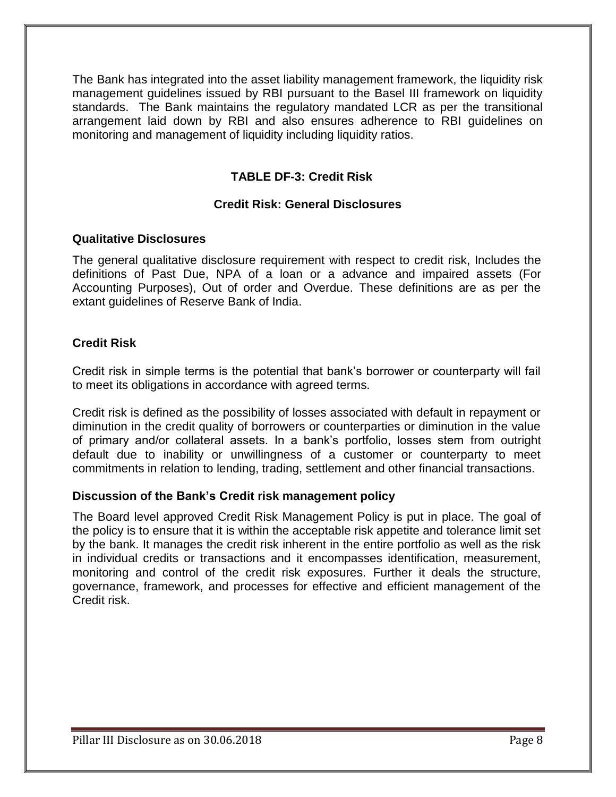The Bank has integrated into the asset liability management framework, the liquidity risk management guidelines issued by RBI pursuant to the Basel III framework on liquidity standards. The Bank maintains the regulatory mandated LCR as per the transitional arrangement laid down by RBI and also ensures adherence to RBI guidelines on monitoring and management of liquidity including liquidity ratios.

# **TABLE DF-3: Credit Risk**

# **Credit Risk: General Disclosures**

## **Qualitative Disclosures**

The general qualitative disclosure requirement with respect to credit risk, Includes the definitions of Past Due, NPA of a loan or a advance and impaired assets (For Accounting Purposes), Out of order and Overdue. These definitions are as per the extant guidelines of Reserve Bank of India.

## **Credit Risk**

Credit risk in simple terms is the potential that bank's borrower or counterparty will fail to meet its obligations in accordance with agreed terms.

Credit risk is defined as the possibility of losses associated with default in repayment or diminution in the credit quality of borrowers or counterparties or diminution in the value of primary and/or collateral assets. In a bank's portfolio, losses stem from outright default due to inability or unwillingness of a customer or counterparty to meet commitments in relation to lending, trading, settlement and other financial transactions.

#### **Discussion of the Bank's Credit risk management policy**

The Board level approved Credit Risk Management Policy is put in place. The goal of the policy is to ensure that it is within the acceptable risk appetite and tolerance limit set by the bank. It manages the credit risk inherent in the entire portfolio as well as the risk in individual credits or transactions and it encompasses identification, measurement, monitoring and control of the credit risk exposures. Further it deals the structure, governance, framework, and processes for effective and efficient management of the Credit risk.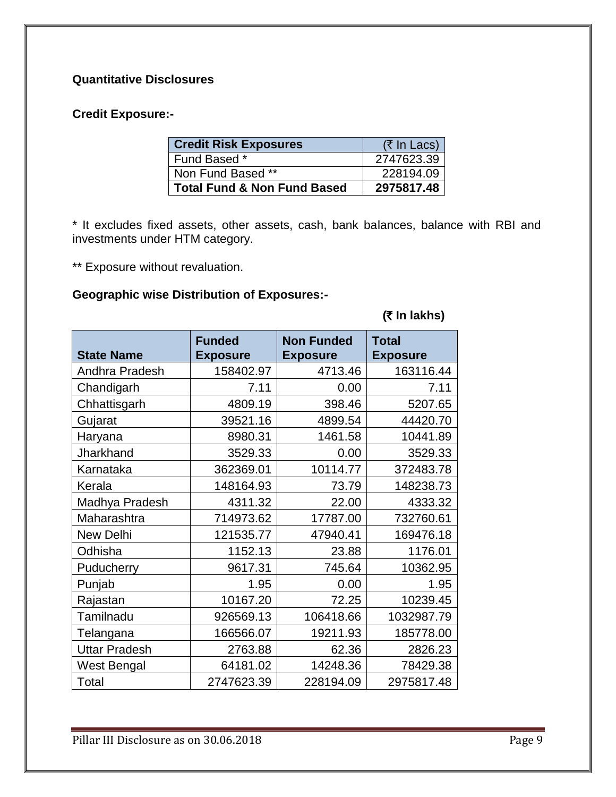# **Quantitative Disclosures**

# **Credit Exposure:-**

| <b>Credit Risk Exposures</b>           | $(5 \ln$ Lacs) |
|----------------------------------------|----------------|
| Fund Based *                           | 2747623.39     |
| Non Fund Based **                      | 228194.09      |
| <b>Total Fund &amp; Non Fund Based</b> | 2975817.48     |

\* It excludes fixed assets, other assets, cash, bank balances, balance with RBI and investments under HTM category.

\*\* Exposure without revaluation.

# **Geographic wise Distribution of Exposures:-**

| <b>State Name</b>    | <b>Funded</b><br><b>Exposure</b> | <b>Non Funded</b><br><b>Exposure</b> | <b>Total</b><br><b>Exposure</b> |
|----------------------|----------------------------------|--------------------------------------|---------------------------------|
| Andhra Pradesh       | 158402.97                        | 4713.46                              | 163116.44                       |
| Chandigarh           | 7.11                             | 0.00                                 | 7.11                            |
| Chhattisgarh         | 4809.19                          | 398.46                               | 5207.65                         |
| Gujarat              | 39521.16                         | 4899.54                              | 44420.70                        |
| Haryana              | 8980.31                          | 1461.58                              | 10441.89                        |
| Jharkhand            | 3529.33                          | 0.00                                 | 3529.33                         |
| Karnataka            | 362369.01                        | 10114.77                             | 372483.78                       |
| Kerala               | 148164.93                        | 73.79                                | 148238.73                       |
| Madhya Pradesh       | 4311.32                          | 22.00                                | 4333.32                         |
| Maharashtra          | 714973.62                        | 17787.00                             | 732760.61                       |
| New Delhi            | 121535.77                        | 47940.41                             | 169476.18                       |
| Odhisha              | 1152.13                          | 23.88                                | 1176.01                         |
| Puducherry           | 9617.31                          | 745.64                               | 10362.95                        |
| Punjab               | 1.95                             | 0.00                                 | 1.95                            |
| Rajastan             | 10167.20                         | 72.25                                | 10239.45                        |
| Tamilnadu            | 926569.13                        | 106418.66                            | 1032987.79                      |
| Telangana            | 166566.07                        | 19211.93                             | 185778.00                       |
| <b>Uttar Pradesh</b> | 2763.88                          | 62.36                                | 2826.23                         |
| West Bengal          | 64181.02                         | 14248.36                             | 78429.38                        |
| Total                | 2747623.39                       | 228194.09                            | 2975817.48                      |

## **(**` **In lakhs)**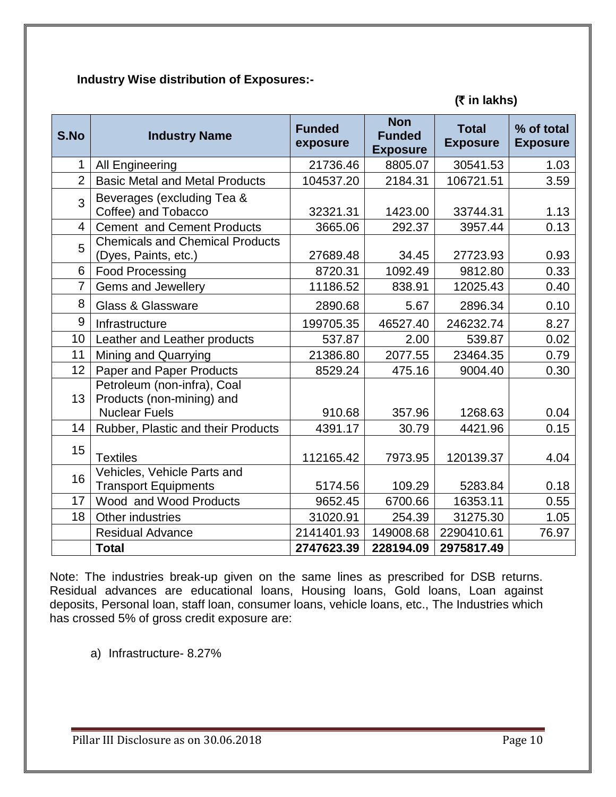# **Industry Wise distribution of Exposures:-**

#### **(**` **in lakhs)**

| S.No           | <b>Industry Name</b>                                                             | <b>Funded</b><br>exposure | <b>Non</b><br><b>Funded</b><br><b>Exposure</b> | <b>Total</b><br><b>Exposure</b> | % of total<br><b>Exposure</b> |
|----------------|----------------------------------------------------------------------------------|---------------------------|------------------------------------------------|---------------------------------|-------------------------------|
| 1              | All Engineering                                                                  | 21736.46                  | 8805.07                                        | 30541.53                        | 1.03                          |
| $\overline{2}$ | <b>Basic Metal and Metal Products</b>                                            | 104537.20                 | 2184.31                                        | 106721.51                       | 3.59                          |
| 3              | Beverages (excluding Tea &<br>Coffee) and Tobacco                                | 32321.31                  | 1423.00                                        | 33744.31                        | 1.13                          |
| $\overline{4}$ | <b>Cement and Cement Products</b>                                                | 3665.06                   | 292.37                                         | 3957.44                         | 0.13                          |
| 5              | <b>Chemicals and Chemical Products</b><br>(Dyes, Paints, etc.)                   | 27689.48                  | 34.45                                          | 27723.93                        | 0.93                          |
| 6              | <b>Food Processing</b>                                                           | 8720.31                   | 1092.49                                        | 9812.80                         | 0.33                          |
| $\overline{7}$ | <b>Gems and Jewellery</b>                                                        | 11186.52                  | 838.91                                         | 12025.43                        | 0.40                          |
| 8              | <b>Glass &amp; Glassware</b>                                                     | 2890.68                   | 5.67                                           | 2896.34                         | 0.10                          |
| 9              | Infrastructure                                                                   | 199705.35                 | 46527.40                                       | 246232.74                       | 8.27                          |
| 10             | Leather and Leather products                                                     | 537.87                    | 2.00                                           | 539.87                          | 0.02                          |
| 11             | Mining and Quarrying                                                             | 21386.80                  | 2077.55                                        | 23464.35                        | 0.79                          |
| 12             | Paper and Paper Products                                                         | 8529.24                   | 475.16                                         | 9004.40                         | 0.30                          |
| 13             | Petroleum (non-infra), Coal<br>Products (non-mining) and<br><b>Nuclear Fuels</b> | 910.68                    | 357.96                                         | 1268.63                         | 0.04                          |
| 14             | Rubber, Plastic and their Products                                               | 4391.17                   | 30.79                                          | 4421.96                         | 0.15                          |
| 15             | <b>Textiles</b>                                                                  | 112165.42                 | 7973.95                                        | 120139.37                       | 4.04                          |
| 16             | Vehicles, Vehicle Parts and<br><b>Transport Equipments</b>                       | 5174.56                   | 109.29                                         | 5283.84                         | 0.18                          |
| 17             | Wood and Wood Products                                                           | 9652.45                   | 6700.66                                        | 16353.11                        | 0.55                          |
| 18             | Other industries                                                                 | 31020.91                  | 254.39                                         | 31275.30                        | 1.05                          |
|                | <b>Residual Advance</b>                                                          | 2141401.93                | 149008.68                                      | 2290410.61                      | 76.97                         |
|                | <b>Total</b>                                                                     | 2747623.39                | 228194.09                                      | 2975817.49                      |                               |

Note: The industries break-up given on the same lines as prescribed for DSB returns. Residual advances are educational loans, Housing loans, Gold loans, Loan against deposits, Personal loan, staff loan, consumer loans, vehicle loans, etc., The Industries which has crossed 5% of gross credit exposure are:

a) Infrastructure- 8.27%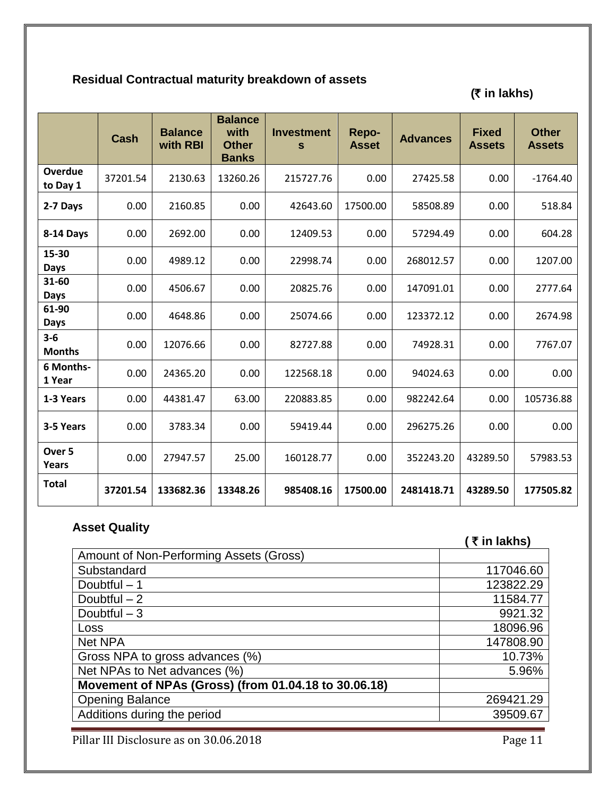## **Residual Contractual maturity breakdown of assets**

## **(**` **in lakhs)**

|                            | <b>Cash</b> | <b>Balance</b><br>with RBI | <b>Balance</b><br>with<br><b>Other</b><br><b>Banks</b> | <b>Investment</b><br>$\mathbf{s}$ | Repo-<br><b>Asset</b> | <b>Advances</b> | <b>Fixed</b><br><b>Assets</b> | <b>Other</b><br><b>Assets</b> |
|----------------------------|-------------|----------------------------|--------------------------------------------------------|-----------------------------------|-----------------------|-----------------|-------------------------------|-------------------------------|
| Overdue<br>to Day 1        | 37201.54    | 2130.63                    | 13260.26                                               | 215727.76                         | 0.00                  | 27425.58        | 0.00                          | $-1764.40$                    |
| 2-7 Days                   | 0.00        | 2160.85                    | 0.00                                                   | 42643.60                          | 17500.00              | 58508.89        | 0.00                          | 518.84                        |
| 8-14 Days                  | 0.00        | 2692.00                    | 0.00                                                   | 12409.53                          | 0.00                  | 57294.49        | 0.00                          | 604.28                        |
| 15-30<br><b>Days</b>       | 0.00        | 4989.12                    | 0.00                                                   | 22998.74                          | 0.00                  | 268012.57       | 0.00                          | 1207.00                       |
| 31-60<br><b>Days</b>       | 0.00        | 4506.67                    | 0.00                                                   | 20825.76                          | 0.00                  | 147091.01       | 0.00                          | 2777.64                       |
| 61-90<br><b>Days</b>       | 0.00        | 4648.86                    | 0.00                                                   | 25074.66                          | 0.00                  | 123372.12       | 0.00                          | 2674.98                       |
| $3 - 6$<br><b>Months</b>   | 0.00        | 12076.66                   | 0.00                                                   | 82727.88                          | 0.00                  | 74928.31        | 0.00                          | 7767.07                       |
| 6 Months-<br>1 Year        | 0.00        | 24365.20                   | 0.00                                                   | 122568.18                         | 0.00                  | 94024.63        | 0.00                          | 0.00                          |
| 1-3 Years                  | 0.00        | 44381.47                   | 63.00                                                  | 220883.85                         | 0.00                  | 982242.64       | 0.00                          | 105736.88                     |
| 3-5 Years                  | 0.00        | 3783.34                    | 0.00                                                   | 59419.44                          | 0.00                  | 296275.26       | 0.00                          | 0.00                          |
| Over <sub>5</sub><br>Years | 0.00        | 27947.57                   | 25.00                                                  | 160128.77                         | 0.00                  | 352243.20       | 43289.50                      | 57983.53                      |
| <b>Total</b>               | 37201.54    | 133682.36                  | 13348.26                                               | 985408.16                         | 17500.00              | 2481418.71      | 43289.50                      | 177505.82                     |

## **Asset Quality**

## **(** ` **in lakhs)**  Amount of Non-Performing Assets (Gross) Substandard 117046.60 Doubtful – 1 123822.29 Doubtful – 2 11584.77  $Doubtful - 3$  9921.32  $\sf{Loss}$  . The contract of the contract of the contract of the contract of the contract of the contract of the contract of the contract of the contract of the contract of the contract of the contract of the contract of the Net NPA 147808.90 Gross NPA to gross advances (%) 10.73% Net NPAs to Net advances (%) 6.96% **Movement of NPAs (Gross) (from 01.04.18 to 30.06.18)** Opening Balance 269421.29 Additions during the period 39509.67

Pillar III Disclosure as on 30.06.2018 Page 11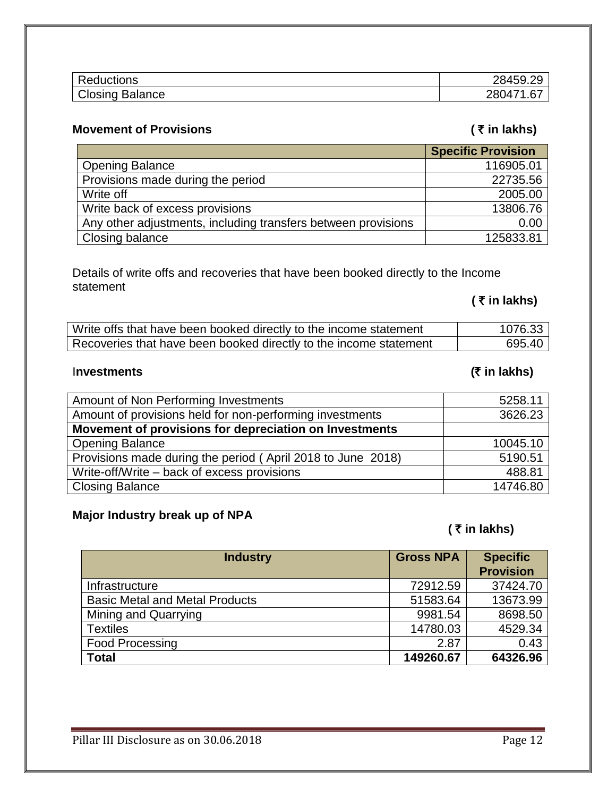| Pillar III Disclosure as on 30.06.2018 | Page 12 |
|----------------------------------------|---------|
|                                        |         |

| <b>Reductions</b>      | 28459.29      |
|------------------------|---------------|
| <b>Closing Balance</b> | .67<br>280471 |
|                        |               |

# **Movement of Provisions and in the latter of the latter of Provisions** (₹ in lakhs)

|                                                               | <b>Specific Provision</b> |
|---------------------------------------------------------------|---------------------------|
| <b>Opening Balance</b>                                        | 116905.01                 |
| Provisions made during the period                             | 22735.56                  |
| Write off                                                     | 2005.00                   |
| Write back of excess provisions                               | 13806.76                  |
| Any other adjustments, including transfers between provisions | 0.00                      |
| Closing balance                                               | 125833.81                 |

Details of write offs and recoveries that have been booked directly to the Income statement

# **(** ` **in lakhs)**

| Write offs that have been booked directly to the income statement | 1076.33 |
|-------------------------------------------------------------------|---------|
| Recoveries that have been booked directly to the income statement | 695.40  |

# I**nvestments (**` **in lakhs)**

| Amount of Non Performing Investments                        | 5258.11  |
|-------------------------------------------------------------|----------|
| Amount of provisions held for non-performing investments    | 3626.23  |
| Movement of provisions for depreciation on Investments      |          |
| <b>Opening Balance</b>                                      | 10045.10 |
| Provisions made during the period (April 2018 to June 2018) | 5190.51  |
| Write-off/Write – back of excess provisions                 | 488.81   |
| <b>Closing Balance</b>                                      | 14746.80 |

# **Major Industry break up of NPA**

# **(** ` **in lakhs)**

| <b>Industry</b>                       | <b>Gross NPA</b> | <b>Specific</b><br><b>Provision</b> |
|---------------------------------------|------------------|-------------------------------------|
| Infrastructure                        | 72912.59         | 37424.70                            |
| <b>Basic Metal and Metal Products</b> | 51583.64         | 13673.99                            |
| Mining and Quarrying                  | 9981.54          | 8698.50                             |
| <b>Textiles</b>                       | 14780.03         | 4529.34                             |
| <b>Food Processing</b>                | 2.87             | 0.43                                |
| <b>Total</b>                          | 149260.67        | 64326.96                            |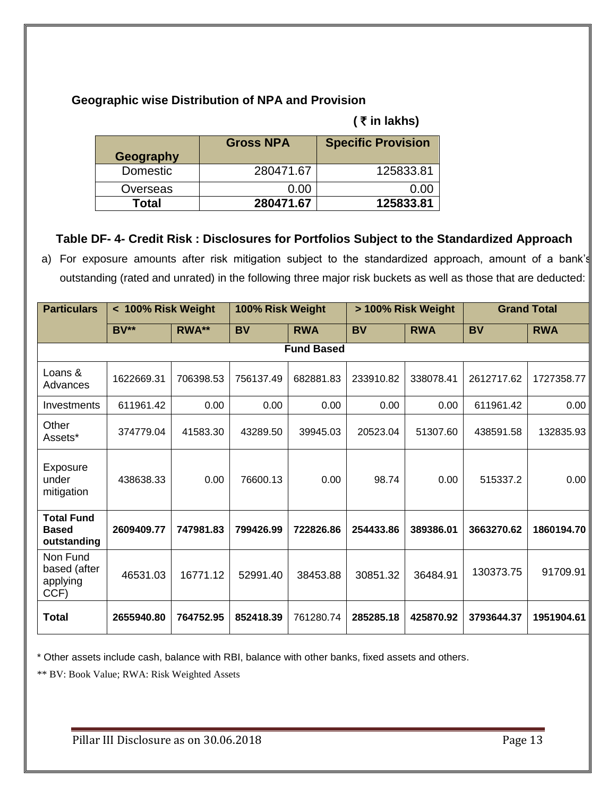# **Geographic wise Distribution of NPA and Provision**

## **(** ` **in lakhs)**

| Geography | <b>Gross NPA</b> | <b>Specific Provision</b> |
|-----------|------------------|---------------------------|
| Domestic  | 280471.67        | 125833.81                 |
| Overseas  | 0.00             |                           |
| Total     | 280471.67        | 125833.81                 |

# **Table DF- 4- Credit Risk : Disclosures for Portfolios Subject to the Standardized Approach**

a) For exposure amounts after risk mitigation subject to the standardized approach, amount of a bank's outstanding (rated and unrated) in the following three major risk buckets as well as those that are deducted:

| <b>Particulars</b>                               | < 100% Risk Weight | 100% Risk Weight<br>> 100% Risk Weight |           |                   | <b>Grand Total</b> |            |            |            |
|--------------------------------------------------|--------------------|----------------------------------------|-----------|-------------------|--------------------|------------|------------|------------|
|                                                  | <b>BV**</b>        | RWA**                                  | <b>BV</b> | <b>RWA</b>        | <b>BV</b>          | <b>RWA</b> | <b>BV</b>  | <b>RWA</b> |
|                                                  |                    |                                        |           | <b>Fund Based</b> |                    |            |            |            |
| Loans &<br>Advances                              | 1622669.31         | 706398.53                              | 756137.49 | 682881.83         | 233910.82          | 338078.41  | 2612717.62 | 1727358.77 |
| Investments                                      | 611961.42          | 0.00                                   | 0.00      | 0.00              | 0.00               | 0.00       | 611961.42  | 0.00       |
| Other<br>Assets*                                 | 374779.04          | 41583.30                               | 43289.50  | 39945.03          | 20523.04           | 51307.60   | 438591.58  | 132835.93  |
| Exposure<br>under<br>mitigation                  | 438638.33          | 0.00                                   | 76600.13  | 0.00              | 98.74              | 0.00       | 515337.2   | 0.00       |
| <b>Total Fund</b><br><b>Based</b><br>outstanding | 2609409.77         | 747981.83                              | 799426.99 | 722826.86         | 254433.86          | 389386.01  | 3663270.62 | 1860194.70 |
| Non Fund<br>based (after<br>applying<br>CCF)     | 46531.03           | 16771.12                               | 52991.40  | 38453.88          | 30851.32           | 36484.91   | 130373.75  | 91709.91   |
| <b>Total</b>                                     | 2655940.80         | 764752.95                              | 852418.39 | 761280.74         | 285285.18          | 425870.92  | 3793644.37 | 1951904.61 |

\* Other assets include cash, balance with RBI, balance with other banks, fixed assets and others.

\*\* BV: Book Value; RWA: Risk Weighted Assets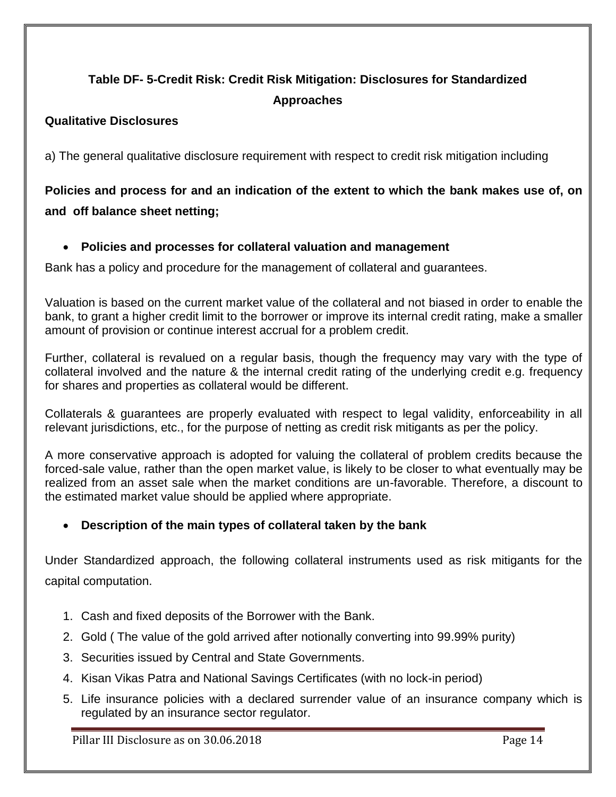# **Table DF- 5-Credit Risk: Credit Risk Mitigation: Disclosures for Standardized Approaches**

# **Qualitative Disclosures**

a) The general qualitative disclosure requirement with respect to credit risk mitigation including

# **Policies and process for and an indication of the extent to which the bank makes use of, on and off balance sheet netting;**

# **Policies and processes for collateral valuation and management**

Bank has a policy and procedure for the management of collateral and guarantees.

Valuation is based on the current market value of the collateral and not biased in order to enable the bank, to grant a higher credit limit to the borrower or improve its internal credit rating, make a smaller amount of provision or continue interest accrual for a problem credit.

Further, collateral is revalued on a regular basis, though the frequency may vary with the type of collateral involved and the nature & the internal credit rating of the underlying credit e.g. frequency for shares and properties as collateral would be different.

Collaterals & guarantees are properly evaluated with respect to legal validity, enforceability in all relevant jurisdictions, etc., for the purpose of netting as credit risk mitigants as per the policy.

A more conservative approach is adopted for valuing the collateral of problem credits because the forced-sale value, rather than the open market value, is likely to be closer to what eventually may be realized from an asset sale when the market conditions are un-favorable. Therefore, a discount to the estimated market value should be applied where appropriate.

# **Description of the main types of collateral taken by the bank**

Under Standardized approach, the following collateral instruments used as risk mitigants for the capital computation.

- 1. Cash and fixed deposits of the Borrower with the Bank.
- 2. Gold ( The value of the gold arrived after notionally converting into 99.99% purity)
- 3. Securities issued by Central and State Governments.
- 4. Kisan Vikas Patra and National Savings Certificates (with no lock-in period)
- 5. Life insurance policies with a declared surrender value of an insurance company which is regulated by an insurance sector regulator.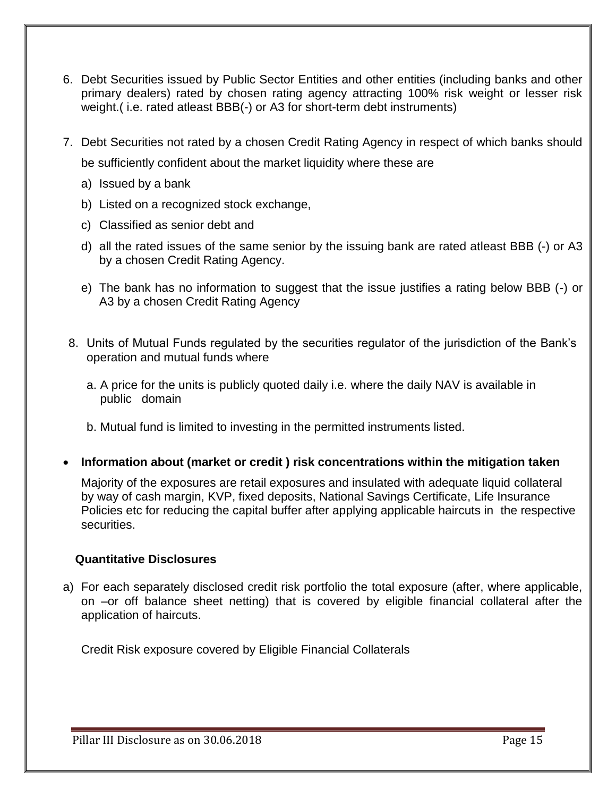- 6. Debt Securities issued by Public Sector Entities and other entities (including banks and other primary dealers) rated by chosen rating agency attracting 100% risk weight or lesser risk weight.( i.e. rated atleast BBB(-) or A3 for short-term debt instruments)
- 7. Debt Securities not rated by a chosen Credit Rating Agency in respect of which banks should be sufficiently confident about the market liquidity where these are
	- a) Issued by a bank
	- b) Listed on a recognized stock exchange,
	- c) Classified as senior debt and
	- d) all the rated issues of the same senior by the issuing bank are rated atleast BBB (-) or A3 by a chosen Credit Rating Agency.
	- e) The bank has no information to suggest that the issue justifies a rating below BBB (-) or A3 by a chosen Credit Rating Agency
- 8. Units of Mutual Funds regulated by the securities regulator of the jurisdiction of the Bank's operation and mutual funds where
	- a. A price for the units is publicly quoted daily i.e. where the daily NAV is available in public domain
	- b. Mutual fund is limited to investing in the permitted instruments listed.
- **Information about (market or credit ) risk concentrations within the mitigation taken**

Majority of the exposures are retail exposures and insulated with adequate liquid collateral by way of cash margin, KVP, fixed deposits, National Savings Certificate, Life Insurance Policies etc for reducing the capital buffer after applying applicable haircuts in the respective securities.

#### **Quantitative Disclosures**

a) For each separately disclosed credit risk portfolio the total exposure (after, where applicable, on –or off balance sheet netting) that is covered by eligible financial collateral after the application of haircuts.

Credit Risk exposure covered by Eligible Financial Collaterals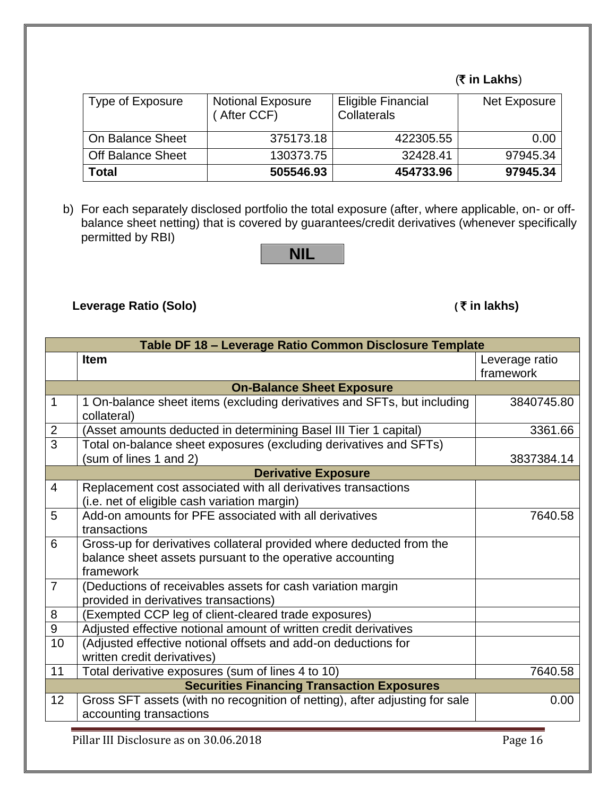# (` **in Lakhs**)

| Type of Exposure         | <b>Notional Exposure</b><br>After CCF) | Eligible Financial<br>Collaterals | Net Exposure |
|--------------------------|----------------------------------------|-----------------------------------|--------------|
| On Balance Sheet         | 375173.18                              | 422305.55                         | 0.00         |
| <b>Off Balance Sheet</b> | 130373.75                              | 32428.41                          | 97945.34     |
| <b>Total</b>             | 505546.93                              | 454733.96                         | 97945.34     |

b) For each separately disclosed portfolio the total exposure (after, where applicable, on- or offbalance sheet netting) that is covered by guarantees/credit derivatives (whenever specifically permitted by RBI)

**NIL**

# **Leverage Ratio (Solo)** (₹ in lakhs)

|                | Table DF 18 - Leverage Ratio Common Disclosure Template                                                       |                |  |  |  |  |
|----------------|---------------------------------------------------------------------------------------------------------------|----------------|--|--|--|--|
|                | <b>Item</b>                                                                                                   | Leverage ratio |  |  |  |  |
|                |                                                                                                               | framework      |  |  |  |  |
|                | <b>On-Balance Sheet Exposure</b>                                                                              |                |  |  |  |  |
| 1              | 1 On-balance sheet items (excluding derivatives and SFTs, but including<br>collateral)                        | 3840745.80     |  |  |  |  |
| $\overline{2}$ | (Asset amounts deducted in determining Basel III Tier 1 capital)                                              | 3361.66        |  |  |  |  |
| $\overline{3}$ | Total on-balance sheet exposures (excluding derivatives and SFTs)<br>(sum of lines 1 and 2)                   | 3837384.14     |  |  |  |  |
|                | <b>Derivative Exposure</b>                                                                                    |                |  |  |  |  |
| $\overline{4}$ | Replacement cost associated with all derivatives transactions<br>(i.e. net of eligible cash variation margin) |                |  |  |  |  |
| 5              | Add-on amounts for PFE associated with all derivatives                                                        | 7640.58        |  |  |  |  |
|                | transactions                                                                                                  |                |  |  |  |  |
| 6              | Gross-up for derivatives collateral provided where deducted from the                                          |                |  |  |  |  |
|                | balance sheet assets pursuant to the operative accounting                                                     |                |  |  |  |  |
|                | framework                                                                                                     |                |  |  |  |  |
| $\overline{7}$ | (Deductions of receivables assets for cash variation margin                                                   |                |  |  |  |  |
|                | provided in derivatives transactions)                                                                         |                |  |  |  |  |
| 8              | (Exempted CCP leg of client-cleared trade exposures)                                                          |                |  |  |  |  |
| $\overline{9}$ | Adjusted effective notional amount of written credit derivatives                                              |                |  |  |  |  |
| 10             | (Adjusted effective notional offsets and add-on deductions for                                                |                |  |  |  |  |
|                | written credit derivatives)                                                                                   |                |  |  |  |  |
| 11             | Total derivative exposures (sum of lines 4 to 10)                                                             | 7640.58        |  |  |  |  |
|                | <b>Securities Financing Transaction Exposures</b>                                                             |                |  |  |  |  |
| 12             | Gross SFT assets (with no recognition of netting), after adjusting for sale<br>accounting transactions        | 0.00           |  |  |  |  |
|                |                                                                                                               |                |  |  |  |  |

Pillar III Disclosure as on 30.06.2018 Pillar III Disclosure as on 30.06.2018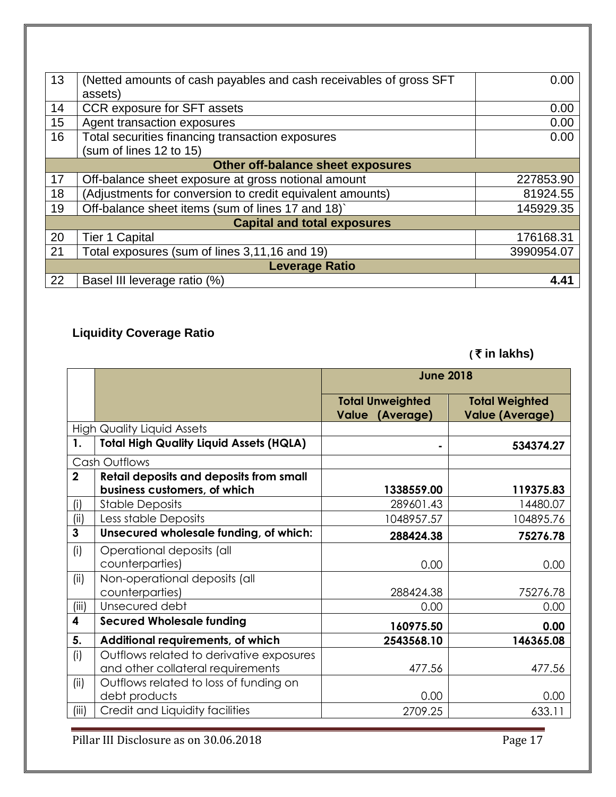| 13 | (Netted amounts of cash payables and cash receivables of gross SFT | 0.00       |  |  |  |
|----|--------------------------------------------------------------------|------------|--|--|--|
|    | assets)                                                            |            |  |  |  |
| 14 | <b>CCR</b> exposure for SFT assets                                 | 0.00       |  |  |  |
| 15 | Agent transaction exposures                                        | 0.00       |  |  |  |
| 16 | Total securities financing transaction exposures                   | 0.00       |  |  |  |
|    | (sum of lines 12 to 15)                                            |            |  |  |  |
|    | Other off-balance sheet exposures                                  |            |  |  |  |
| 17 | Off-balance sheet exposure at gross notional amount                | 227853.90  |  |  |  |
| 18 | (Adjustments for conversion to credit equivalent amounts)          | 81924.55   |  |  |  |
| 19 | Off-balance sheet items (sum of lines 17 and 18)                   | 145929.35  |  |  |  |
|    | <b>Capital and total exposures</b>                                 |            |  |  |  |
| 20 | <b>Tier 1 Capital</b>                                              | 176168.31  |  |  |  |
| 21 | Total exposures (sum of lines 3,11,16 and 19)                      | 3990954.07 |  |  |  |
|    | <b>Leverage Ratio</b>                                              |            |  |  |  |
| 22 | Basel III leverage ratio (%)                                       | 4.41       |  |  |  |

# **Liquidity Coverage Ratio**

# **(** ` **in lakhs)**

|                |                                                | <b>June 2018</b>                                  |                                                 |  |
|----------------|------------------------------------------------|---------------------------------------------------|-------------------------------------------------|--|
|                |                                                | <b>Total Unweighted</b><br><b>Value (Average)</b> | <b>Total Weighted</b><br><b>Value (Average)</b> |  |
|                | <b>High Quality Liquid Assets</b>              |                                                   |                                                 |  |
| 1.             | <b>Total High Quality Liquid Assets (HQLA)</b> |                                                   | 534374.27                                       |  |
|                | Cash Outflows                                  |                                                   |                                                 |  |
| $\overline{2}$ | <b>Retail deposits and deposits from small</b> |                                                   |                                                 |  |
|                | business customers, of which                   | 1338559.00                                        | 119375.83                                       |  |
| (i)            | <b>Stable Deposits</b>                         | 289601.43                                         | 14480.07                                        |  |
| (i)            | Less stable Deposits                           | 1048957.57                                        | 104895.76                                       |  |
| 3              | Unsecured wholesale funding, of which:         | 288424.38                                         | 75276.78                                        |  |
| (i)            | Operational deposits (all                      |                                                   |                                                 |  |
|                | counterparties)                                | 0.00                                              | 0.00                                            |  |
| (ii)           | Non-operational deposits (all                  |                                                   |                                                 |  |
|                | counterparties)                                | 288424.38                                         | 75276.78                                        |  |
| (iii)          | Unsecured debt                                 | 0.00                                              | 0.00                                            |  |
| 4              | <b>Secured Wholesale funding</b>               | 160975.50                                         | 0.00                                            |  |
| 5.             | Additional requirements, of which              | 2543568.10                                        | 146365.08                                       |  |
| (i)            | Outflows related to derivative exposures       |                                                   |                                                 |  |
|                | and other collateral requirements              | 477.56                                            | 477.56                                          |  |
| (ii)           | Outflows related to loss of funding on         |                                                   |                                                 |  |
|                | debt products                                  | 0.00                                              | 0.00                                            |  |
| (iii)          | Credit and Liquidity facilities                | 2709.25                                           | 633.11                                          |  |

Pillar III Disclosure as on 30.06.2018 Page 17